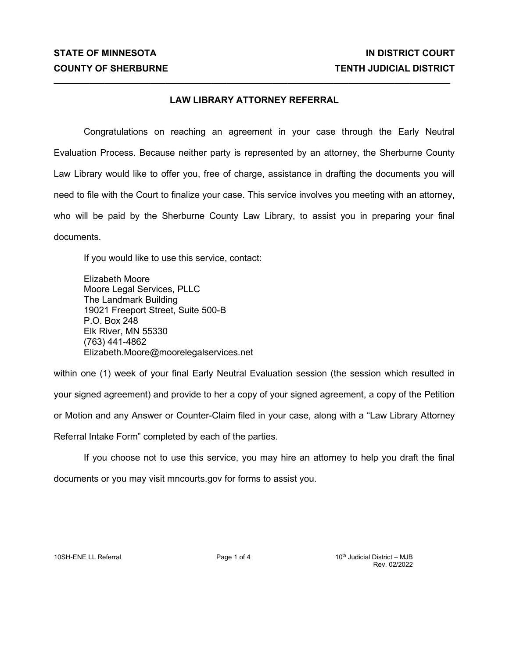## **LAW LIBRARY ATTORNEY REFERRAL**

**\_\_\_\_\_\_\_\_\_\_\_\_\_\_\_\_\_\_\_\_\_\_\_\_\_\_\_\_\_\_\_\_\_\_\_\_\_\_\_\_\_\_\_\_\_\_\_\_\_\_\_\_\_\_\_\_\_\_\_\_\_\_\_\_\_\_\_\_\_\_\_\_\_\_\_\_\_\_**

Congratulations on reaching an agreement in your case through the Early Neutral Evaluation Process. Because neither party is represented by an attorney, the Sherburne County Law Library would like to offer you, free of charge, assistance in drafting the documents you will need to file with the Court to finalize your case. This service involves you meeting with an attorney, who will be paid by the Sherburne County Law Library, to assist you in preparing your final documents.

If you would like to use this service, contact:

Elizabeth Moore Moore Legal Services, PLLC The Landmark Building 19021 Freeport Street, Suite 500-B P.O. Box 248 Elk River, MN 55330 (763) 441-4862 Elizabeth.Moore@moorelegalservices.net

within one (1) week of your final Early Neutral Evaluation session (the session which resulted in your signed agreement) and provide to her a copy of your signed agreement, a copy of the Petition or Motion and any Answer or Counter-Claim filed in your case, along with a "Law Library Attorney Referral Intake Form" completed by each of the parties.

If you choose not to use this service, you may hire an attorney to help you draft the final documents or you may visit mncourts.gov for forms to assist you.

10SH-ENE LL Referral **Page 1 of 4** 10th Judicial District – MJB Rev. 02/2022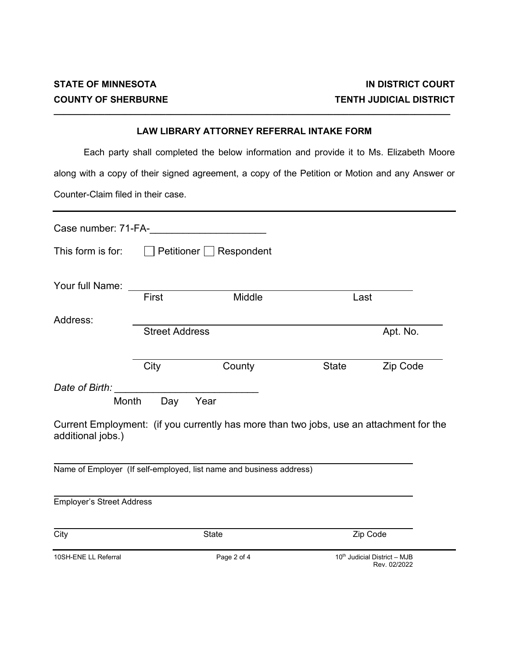## **LAW LIBRARY ATTORNEY REFERRAL INTAKE FORM**

**\_\_\_\_\_\_\_\_\_\_\_\_\_\_\_\_\_\_\_\_\_\_\_\_\_\_\_\_\_\_\_\_\_\_\_\_\_\_\_\_\_\_\_\_\_\_\_\_\_\_\_\_\_\_\_\_\_\_\_\_\_\_\_\_\_\_\_\_\_\_\_\_\_\_\_\_\_\_**

Each party shall completed the below information and provide it to Ms. Elizabeth Moore along with a copy of their signed agreement, a copy of the Petition or Motion and any Answer or Counter-Claim filed in their case.

| Case number: 71-FA-                          |                       |                                                                                                 |              |                                              |
|----------------------------------------------|-----------------------|-------------------------------------------------------------------------------------------------|--------------|----------------------------------------------|
| This form is for:                            |                       | $\Box$ Petitioner $\Box$ Respondent                                                             |              |                                              |
| Your full Name:                              | First                 | Middle                                                                                          | Last         |                                              |
| Address:                                     | <b>Street Address</b> |                                                                                                 |              | Apt. No.                                     |
|                                              | City                  | County                                                                                          | <b>State</b> | Zip Code                                     |
| Date of Birth:<br>Month<br>additional jobs.) | Day                   | Year<br>Current Employment: (if you currently has more than two jobs, use an attachment for the |              |                                              |
|                                              |                       | Name of Employer (If self-employed, list name and business address)                             |              |                                              |
| Employer's Street Address                    |                       |                                                                                                 |              |                                              |
| City                                         |                       | <b>State</b>                                                                                    |              | Zip Code                                     |
| 10SH-ENE LL Referral                         |                       | Page 2 of 4                                                                                     |              | 10th Judicial District - MJB<br>Rev. 02/2022 |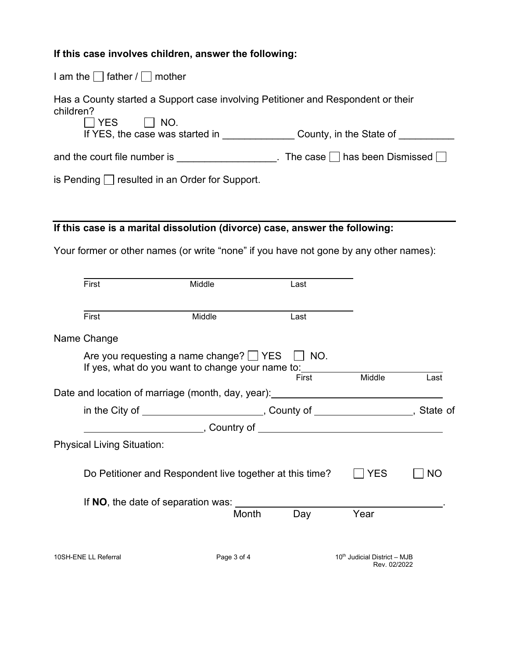## **If this case involves children, answer the following:**

I am the  $\Box$  father /  $\Box$  mother

Has a County started a Support case involving Petitioner and Respondent or their children?<br> $\Box$  YES

 $\Box$  NO. If YES, the case was started in \_\_\_\_\_\_\_\_\_\_\_\_\_\_\_\_\_ County, in the State of \_\_\_\_\_\_\_\_\_\_\_

and the court file number is \_\_\_\_\_\_\_\_\_\_\_\_\_\_\_\_\_\_\_. The case  $\Box$  has been Dismissed  $\Box$ 

is Pending  $\Box$  resulted in an Order for Support.

## **If this case is a marital dissolution (divorce) case, answer the following:**

Your former or other names (or write "none" if you have not gone by any other names):

| First                                                                                            | Middle      | Last  |                              |      |
|--------------------------------------------------------------------------------------------------|-------------|-------|------------------------------|------|
| First                                                                                            | Middle      | Last  |                              |      |
| Name Change                                                                                      |             |       |                              |      |
| Are you requesting a name change? $\Box$ YES<br>If yes, what do you want to change your name to: |             | NO.   |                              |      |
|                                                                                                  |             | First | Middle                       | Last |
| Date and location of marriage (month, day, year): ______________________________                 |             |       |                              |      |
| in the City of _________________________, County of __________________, State of                 |             |       |                              |      |
|                                                                                                  |             |       |                              |      |
| <b>Physical Living Situation:</b>                                                                |             |       |                              |      |
| Do Petitioner and Respondent live together at this time?                                         |             |       | <b>YES</b>                   | NO   |
| If NO, the date of separation was:                                                               |             |       |                              |      |
|                                                                                                  | Month       | Day   | Year                         |      |
| 10SH-ENE LL Referral                                                                             | Page 3 of 4 |       | 10th Judicial District - MJB |      |
|                                                                                                  |             |       | Rev. 02/2022                 |      |